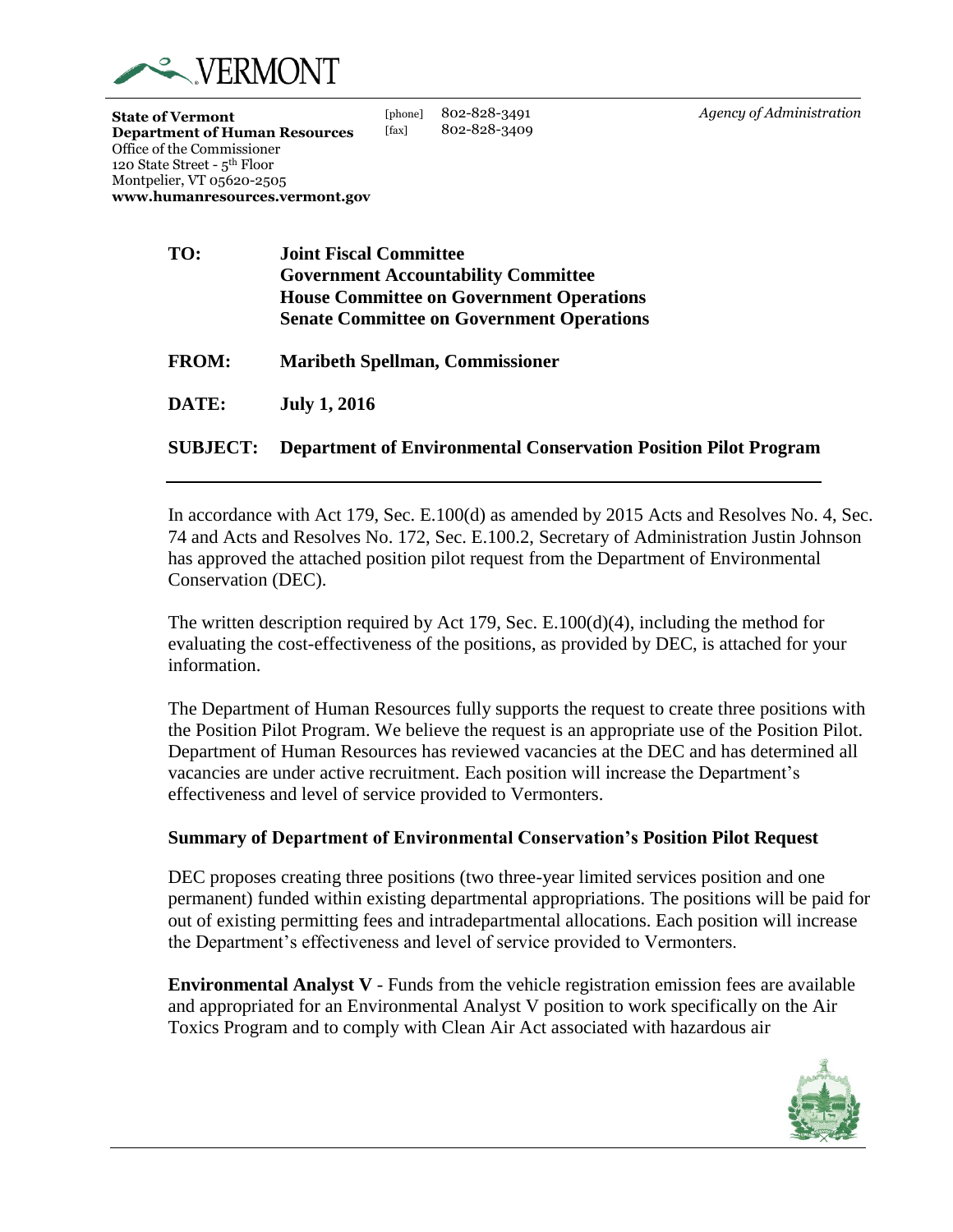

[phone] 802-828-3491 [fax] 802-828-3409 *Agency of Administration*

| TO:          | <b>Joint Fiscal Committee</b>                    |
|--------------|--------------------------------------------------|
|              | <b>Government Accountability Committee</b>       |
|              | <b>House Committee on Government Operations</b>  |
|              | <b>Senate Committee on Government Operations</b> |
| <b>FROM:</b> | <b>Maribeth Spellman, Commissioner</b>           |

**DATE: July 1, 2016**

# **SUBJECT: Department of Environmental Conservation Position Pilot Program**

In accordance with Act 179, Sec. E.100(d) as amended by 2015 Acts and Resolves No. 4, Sec. 74 and Acts and Resolves No. 172, Sec. E.100.2, Secretary of Administration Justin Johnson has approved the attached position pilot request from the Department of Environmental Conservation (DEC).

The written description required by Act 179, Sec.  $E.100(d)(4)$ , including the method for evaluating the cost-effectiveness of the positions, as provided by DEC, is attached for your information.

The Department of Human Resources fully supports the request to create three positions with the Position Pilot Program. We believe the request is an appropriate use of the Position Pilot. Department of Human Resources has reviewed vacancies at the DEC and has determined all vacancies are under active recruitment. Each position will increase the Department's effectiveness and level of service provided to Vermonters.

# **Summary of Department of Environmental Conservation's Position Pilot Request**

DEC proposes creating three positions (two three-year limited services position and one permanent) funded within existing departmental appropriations. The positions will be paid for out of existing permitting fees and intradepartmental allocations. Each position will increase the Department's effectiveness and level of service provided to Vermonters.

**Environmental Analyst V** - Funds from the vehicle registration emission fees are available and appropriated for an Environmental Analyst V position to work specifically on the Air Toxics Program and to comply with Clean Air Act associated with hazardous air

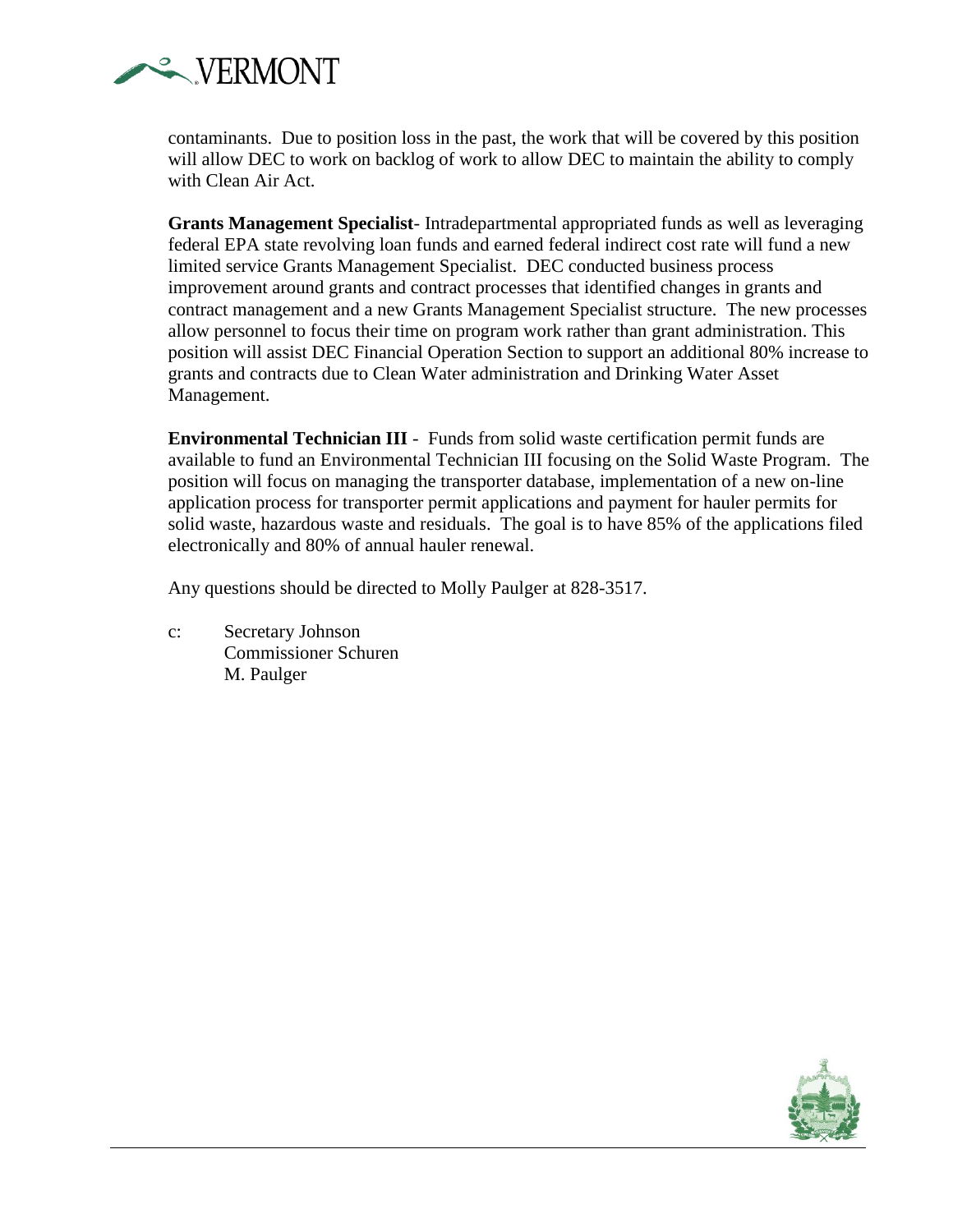

contaminants. Due to position loss in the past, the work that will be covered by this position will allow DEC to work on backlog of work to allow DEC to maintain the ability to comply with Clean Air Act.

**Grants Management Specialist**- Intradepartmental appropriated funds as well as leveraging federal EPA state revolving loan funds and earned federal indirect cost rate will fund a new limited service Grants Management Specialist. DEC conducted business process improvement around grants and contract processes that identified changes in grants and contract management and a new Grants Management Specialist structure. The new processes allow personnel to focus their time on program work rather than grant administration. This position will assist DEC Financial Operation Section to support an additional 80% increase to grants and contracts due to Clean Water administration and Drinking Water Asset Management.

**Environmental Technician III** - Funds from solid waste certification permit funds are available to fund an Environmental Technician III focusing on the Solid Waste Program. The position will focus on managing the transporter database, implementation of a new on-line application process for transporter permit applications and payment for hauler permits for solid waste, hazardous waste and residuals. The goal is to have 85% of the applications filed electronically and 80% of annual hauler renewal.

Any questions should be directed to Molly Paulger at 828-3517.

c: Secretary Johnson Commissioner Schuren M. Paulger

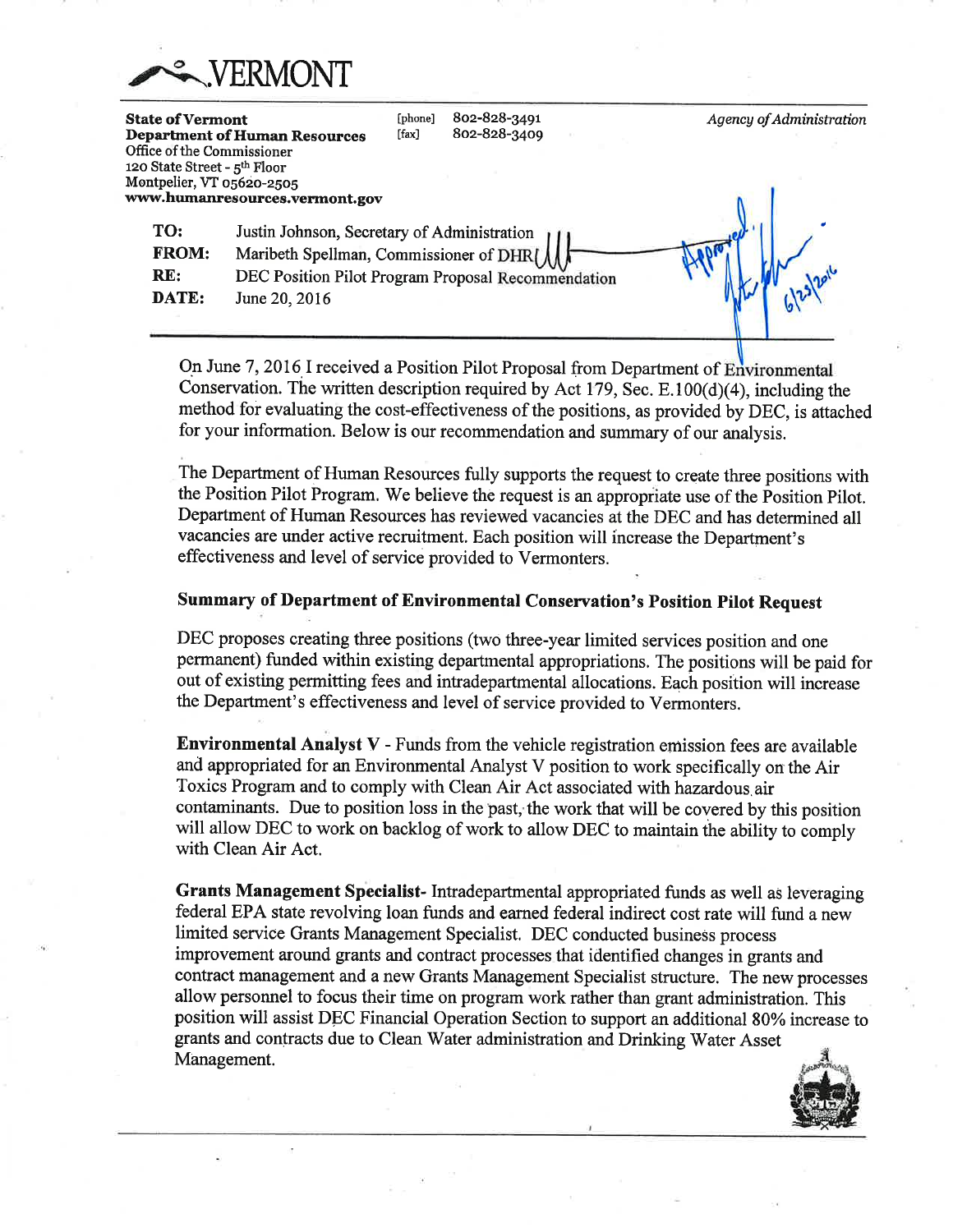

| <b>State of Vermont</b><br>Office of the Commissioner<br>120 State Street - 5th Floor<br>Montpelier, VT 05620-2505 | <b>Department of Human Resources</b><br>www.humanresources.vermont.gov                                                                                        | [phone]<br>$[$ fax $]$ | 802-828-3491<br>802-828-3409 |  | Agency of Administration |
|--------------------------------------------------------------------------------------------------------------------|---------------------------------------------------------------------------------------------------------------------------------------------------------------|------------------------|------------------------------|--|--------------------------|
| TO:<br><b>FROM:</b><br>RE:<br>DATE:                                                                                | Justin Johnson, Secretary of Administration<br>Maribeth Spellman, Commissioner of DHR(<br>DEC Position Pilot Program Proposal Recommendation<br>June 20, 2016 |                        |                              |  |                          |

On June 7, 2016 I received a Position Pilot Proposal from Department of Environmental Conservation. The written description required by Act 179, Sec. E.100 $(d)(4)$ , including the method for evaluating the cost-effectiveness of the positions, as provided by DEC, is attached for your information. Below is our recommendation and summary of our analysis.

The Department of Human Resources fully supports the request to create three positions with the Position Pilot Program. We believe the request is an appropriate use of the Position Pilot. Department of Human Resources has reviewed vacancies at the DEC and has determined all vacancies are under active recruitment. Each position will increase the Department's effectiveness and level of service provided to Vermonters.

### **Summary of Department of Environmental Conservation's Position Pilot Request**

DEC proposes creating three positions (two three-year limited services position and one permanent) funded within existing departmental appropriations. The positions will be paid for out of existing permitting fees and intradepartmental allocations. Each position will increase the Department's effectiveness and level of service provided to Vermonters.

Environmental Analyst V - Funds from the vehicle registration emission fees are available and appropriated for an Environmental Analyst V position to work specifically on the Air Toxics Program and to comply with Clean Air Act associated with hazardous air contaminants. Due to position loss in the past, the work that will be covered by this position will allow DEC to work on backlog of work to allow DEC to maintain the ability to comply with Clean Air Act.

Grants Management Specialist-Intradepartmental appropriated funds as well as leveraging federal EPA state revolving loan funds and earned federal indirect cost rate will fund a new limited service Grants Management Specialist. DEC conducted business process improvement around grants and contract processes that identified changes in grants and contract management and a new Grants Management Specialist structure. The new processes allow personnel to focus their time on program work rather than grant administration. This position will assist DEC Financial Operation Section to support an additional 80% increase to grants and contracts due to Clean Water administration and Drinking Water Asset Management.

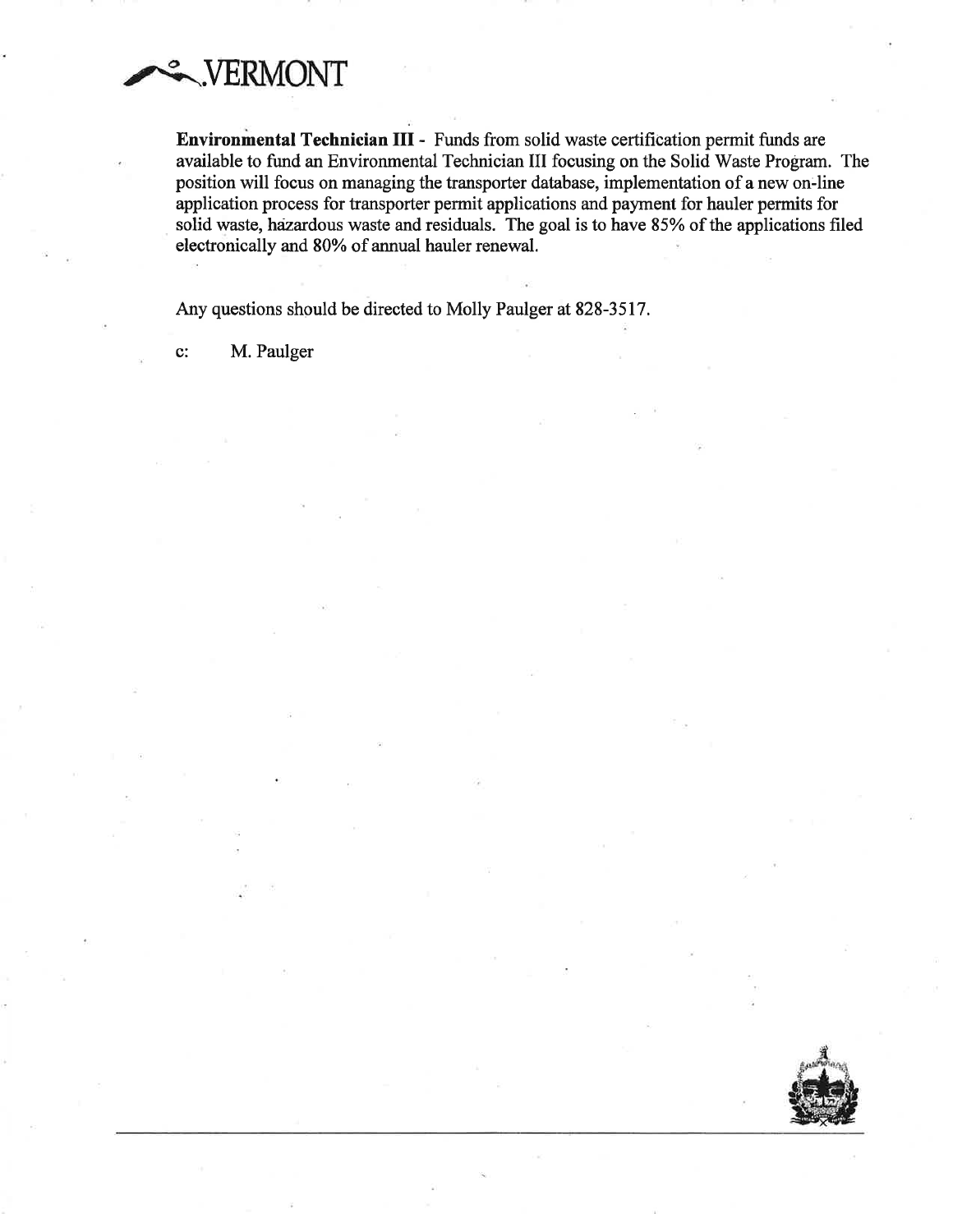

Environmental Technician III - Funds from solid waste certification permit funds are available to fund an Environmental Technician III focusing on the Solid Waste Program. The position will focus on managing the transporter database, implementation of a new on-line application process for transporter permit applications and payment for hauler permits for solid waste, hazardous waste and residuals. The goal is to have 85% of the applications filed electronically and 80% of annual hauler renewal.

Any questions should be directed to Molly Paulger at 828-3517.

 $\mathbf{c}$ : M. Paulger

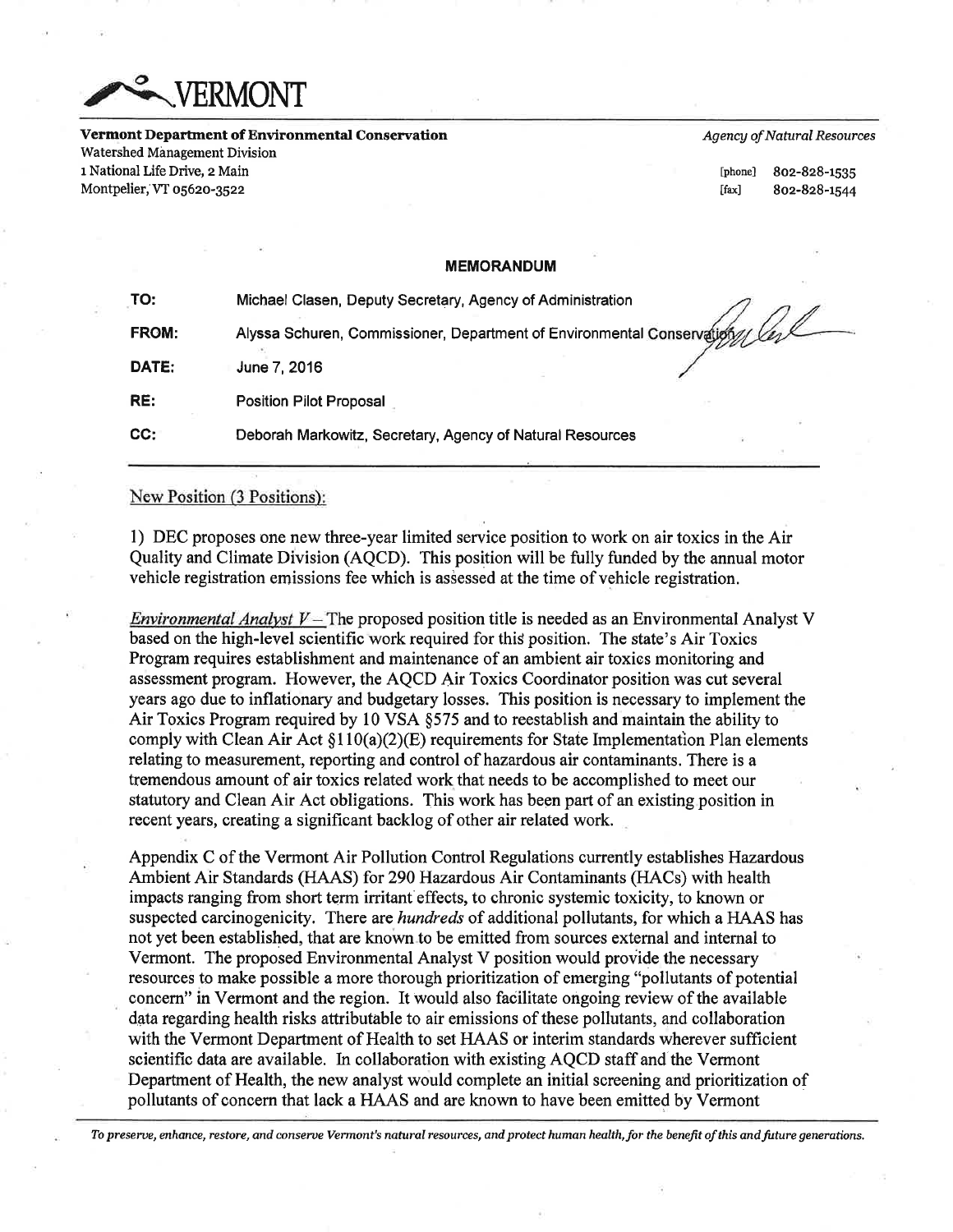

Vermont Department of Environmental Conservation Watershed Management Division 1 National Life Drive, 2 Main Montpelier, VT 05620-3522

**Agency of Natural Resources** 

[phone]  $[$ fax $]$ 

802-828-1535 802-828-1544

## **MEMORANDUM**

| TO:   | Michael Clasen, Deputy Secretary, Agency of Administration             |
|-------|------------------------------------------------------------------------|
| FROM: | Alyssa Schuren, Commissioner, Department of Environmental Conservation |
| DATE: | June 7, 2016                                                           |
| RE:   | <b>Position Pilot Proposal</b>                                         |
| CC:   | Deborah Markowitz, Secretary, Agency of Natural Resources              |

## New Position (3 Positions):

1) DEC proposes one new three-year limited service position to work on air toxics in the Air Quality and Climate Division (AQCD). This position will be fully funded by the annual motor vehicle registration emissions fee which is assessed at the time of vehicle registration.

*Environmental Analyst V* – The proposed position title is needed as an Environmental Analyst V based on the high-level scientific work required for this position. The state's Air Toxics Program requires establishment and maintenance of an ambient air toxics monitoring and assessment program. However, the AQCD Air Toxics Coordinator position was cut several years ago due to inflationary and budgetary losses. This position is necessary to implement the Air Toxics Program required by 10 VSA §575 and to reestablish and maintain the ability to comply with Clean Air Act  $\S110(a)(2)(E)$  requirements for State Implementation Plan elements relating to measurement, reporting and control of hazardous air contaminants. There is a tremendous amount of air toxics related work that needs to be accomplished to meet our statutory and Clean Air Act obligations. This work has been part of an existing position in recent years, creating a significant backlog of other air related work.

Appendix C of the Vermont Air Pollution Control Regulations currently establishes Hazardous Ambient Air Standards (HAAS) for 290 Hazardous Air Contaminants (HACs) with health impacts ranging from short term irritant effects, to chronic systemic toxicity, to known or suspected carcinogenicity. There are *hundreds* of additional pollutants, for which a HAAS has not yet been established, that are known to be emitted from sources external and internal to Vermont. The proposed Environmental Analyst V position would provide the necessary resources to make possible a more thorough prioritization of emerging "pollutants of potential concern" in Vermont and the region. It would also facilitate ongoing review of the available data regarding health risks attributable to air emissions of these pollutants, and collaboration with the Vermont Department of Health to set HAAS or interim standards wherever sufficient scientific data are available. In collaboration with existing AQCD staff and the Vermont Department of Health, the new analyst would complete an initial screening and prioritization of pollutants of concern that lack a HAAS and are known to have been emitted by Vermont

To preserve, enhance, restore, and conserve Vermont's natural resources, and protect human health, for the benefit of this and future generations.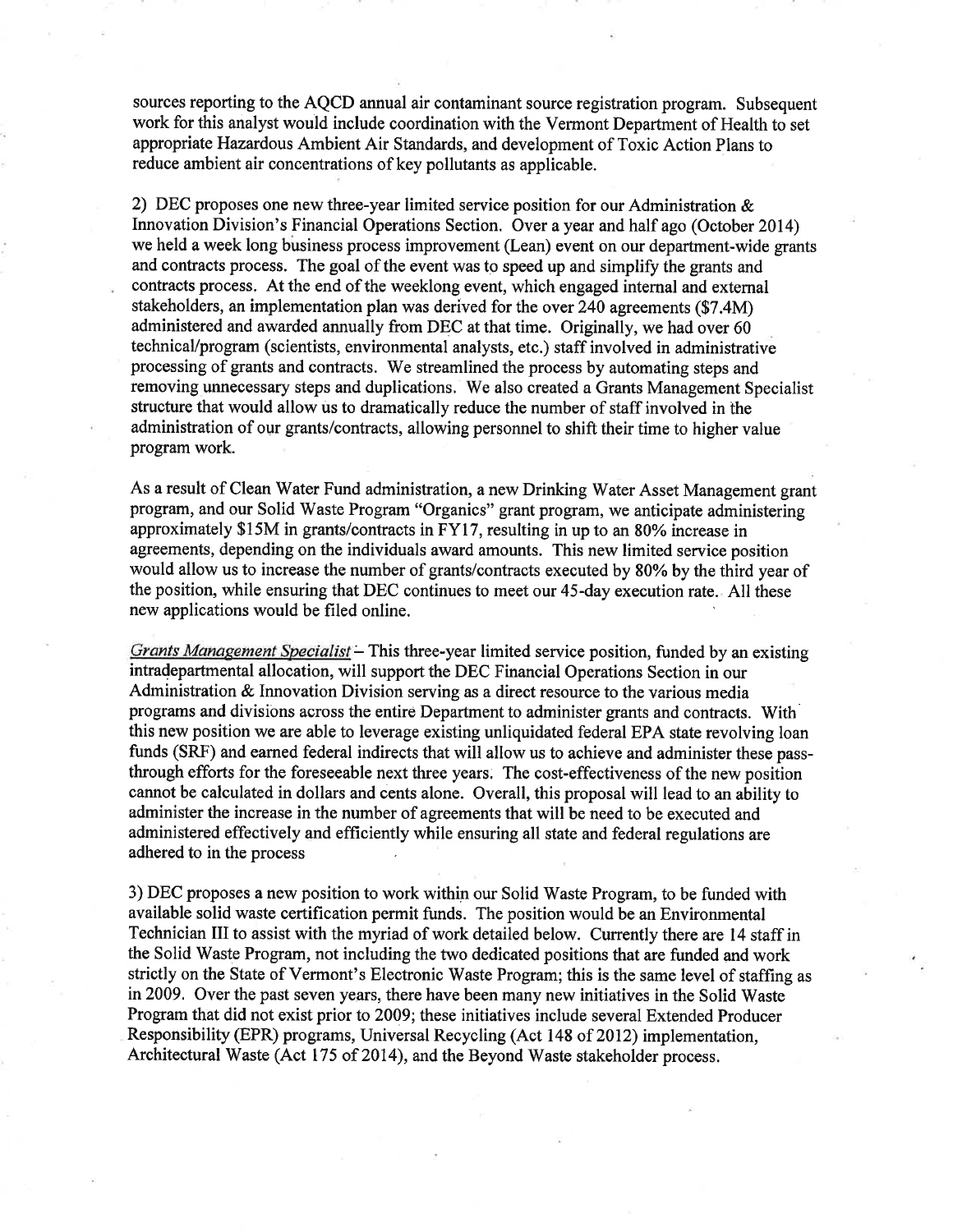sources reporting to the AQCD annual air contaminant source registration program. Subsequent work for this analyst would include coordination with the Vermont Department of Health to set appropriate Hazardous Ambient Air Standards, and development of Toxic Action Plans to reduce ambient air concentrations of key pollutants as applicable.

2) DEC proposes one new three-year limited service position for our Administration & Innovation Division's Financial Operations Section. Over a year and half ago (October 2014) we held a week long business process improvement (Lean) event on our department-wide grants and contracts process. The goal of the event was to speed up and simplify the grants and contracts process. At the end of the weeklong event, which engaged internal and external stakeholders, an implementation plan was derived for the over 240 agreements (\$7.4M) administered and awarded annually from DEC at that time. Originally, we had over 60 technical/program (scientists, environmental analysts, etc.) staff involved in administrative processing of grants and contracts. We streamlined the process by automating steps and removing unnecessary steps and duplications. We also created a Grants Management Specialist structure that would allow us to dramatically reduce the number of staff involved in the administration of our grants/contracts, allowing personnel to shift their time to higher value program work.

As a result of Clean Water Fund administration, a new Drinking Water Asset Management grant program, and our Solid Waste Program "Organics" grant program, we anticipate administering approximately \$15M in grants/contracts in FY17, resulting in up to an 80% increase in agreements, depending on the individuals award amounts. This new limited service position would allow us to increase the number of grants/contracts executed by 80% by the third year of the position, while ensuring that DEC continues to meet our 45-day execution rate. All these new applications would be filed online.

Grants Management Specialist - This three-year limited service position, funded by an existing intradepartmental allocation, will support the DEC Financial Operations Section in our Administration & Innovation Division serving as a direct resource to the various media programs and divisions across the entire Department to administer grants and contracts. With this new position we are able to leverage existing unliquidated federal EPA state revolving loan funds (SRF) and earned federal indirects that will allow us to achieve and administer these passthrough efforts for the foreseeable next three years. The cost-effectiveness of the new position cannot be calculated in dollars and cents alone. Overall, this proposal will lead to an ability to administer the increase in the number of agreements that will be need to be executed and administered effectively and efficiently while ensuring all state and federal regulations are adhered to in the process

3) DEC proposes a new position to work within our Solid Waste Program, to be funded with available solid waste certification permit funds. The position would be an Environmental Technician III to assist with the myriad of work detailed below. Currently there are 14 staff in the Solid Waste Program, not including the two dedicated positions that are funded and work strictly on the State of Vermont's Electronic Waste Program; this is the same level of staffing as in 2009. Over the past seven years, there have been many new initiatives in the Solid Waste Program that did not exist prior to 2009; these initiatives include several Extended Producer Responsibility (EPR) programs, Universal Recycling (Act 148 of 2012) implementation, Architectural Waste (Act 175 of 2014), and the Beyond Waste stakeholder process.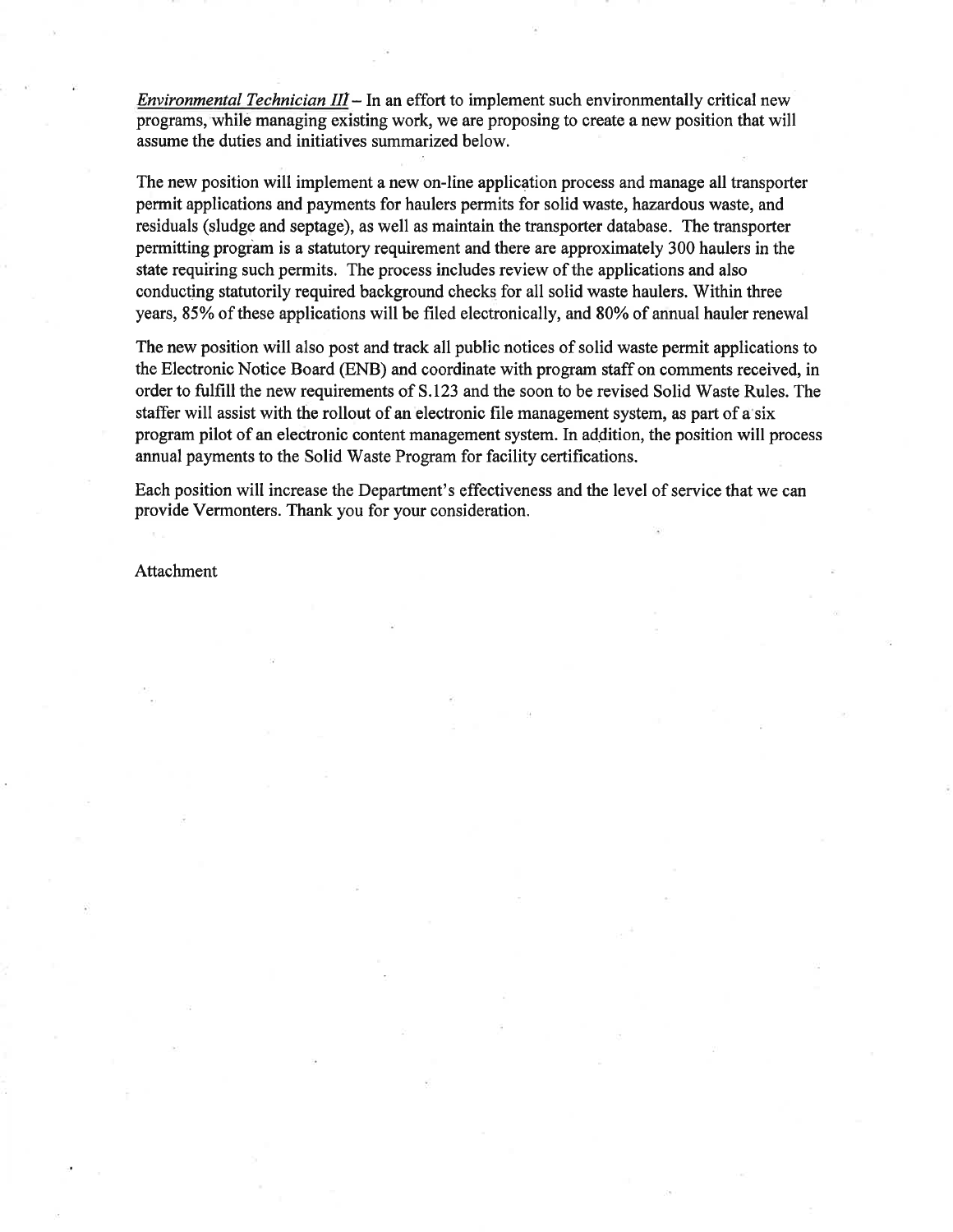*Environmental Technician*  $III - In$  *an effort to implement such environmentally critical new* programs, while managing existing work, we are proposing to create a new position that will assume the duties and initiatives summarized below.

The new position will implement a new on-line application process and manage all transporter permit applications and payments for haulers permits for solid waste, hazardous waste, and residuals (sludge and septage), as well as maintain the transporter database. The transporter permitting program is a statutory requirement and there are approximately 300 haulers in the state requiring such permits. The process includes review of the applications and also conducting statutorily required background checks for all solid waste haulers. Within three years, 85% of these applications will be filed electronically, and 80% of annual hauler renewal

The new position will also post and track all public notices of solid waste permit applications to the Electronic Notice Board (ENB) and coordinate with program staff on comments received, in order to fulfill the new requirements of S.123 and the soon to be revised Solid Waste Rules. The staffer will assist with the rollout of an electronic file management system, as part of a six program pilot of an electronic content management system. In addition, the position will process annual payments to the Solid Waste Program for facility certifications.

Each position will increase the Department's effectiveness and the level of service that we can provide Vermonters. Thank you for your consideration.

Attachment